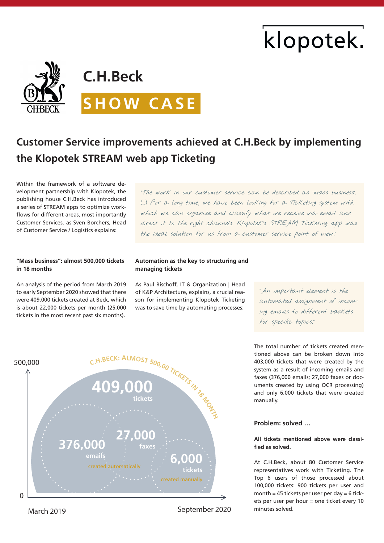# klopotek.



## **Customer Service improvements achieved at C.H.Beck by implementing the Klopotek STREAM web app Ticketing**

Within the framework of a software development partnership with Klopotek, the publishing house C.H.Beck has introduced a series of STREAM apps to optimize workflows for different areas, most importantly Customer Services, as Sven Borchers, Head of Customer Service / Logistics explains:

"The work in our customer service can be described as 'mass business'. (…) For a long time, we have been looking for a Ticketing system with which we can organize and classify what we receive via email and direct it to the right channels. Klopotek's STREAM Ticketing app was the ideal solution for us from a customer service point of view."

#### **"Mass business": almost 500,000 tickets in 18 months**

An analysis of the period from March 2019 to early September 2020 showed that there were 409,000 tickets created at Beck, which is about 22,000 tickets per month (25,000 tickets in the most recent past six months).

#### **Automation as the key to structuring and managing tickets**

As Paul Bischoff, IT & Organization | Head of K&P Architecture, explains, a crucial reason for implementing Klopotek Ticketing was to save time by automating processes:

"An important element is the automated assignment of incoming emails to different baskets for specific topics."



March 2019 change of 2020 change of 2020 change of 2020

The total number of tickets created mentioned above can be broken down into 403,000 tickets that were created by the system as a result of incoming emails and faxes (376,000 emails; 27,000 faxes or documents created by using OCR processing) and only 6,000 tickets that were created manually.

### **Problem: solved …**

#### **All tickets mentioned above were classified as solved.**

At C.H.Beck, about 80 Customer Service representatives work with Ticketing. The Top 6 users of those processed about 100,000 tickets: 900 tickets per user and month = 45 tickets per user per day =  $6$  tickets per user per hour = one ticket every 10 minutes solved.